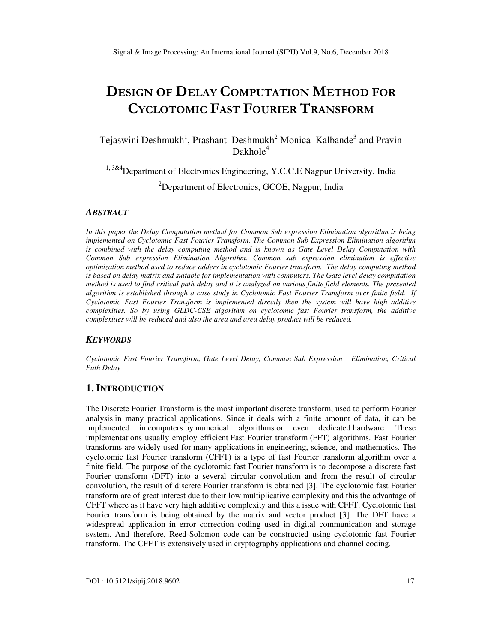# **DESIGN OF DELAY COMPUTATION METHOD FOR CYCLOTOMIC FAST FOURIER TRANSFORM**

Tejaswini Deshmukh<sup>1</sup>, Prashant Deshmukh<sup>2</sup> Monica Kalbande<sup>3</sup> and Pravin  $Dakhole<sup>4</sup>$ 

<sup>1, 3&4</sup>Department of Electronics Engineering, Y.C.C.E Nagpur University, India <sup>2</sup>Department of Electronics, GCOE, Nagpur, India

#### *ABSTRACT*

*In this paper the Delay Computation method for Common Sub expression Elimination algorithm is being implemented on Cyclotomic Fast Fourier Transform. The Common Sub Expression Elimination algorithm is combined with the delay computing method and is known as Gate Level Delay Computation with Common Sub expression Elimination Algorithm. Common sub expression elimination is effective optimization method used to reduce adders in cyclotomic Fourier transform. The delay computing method is based on delay matrix and suitable for implementation with computers. The Gate level delay computation method is used to find critical path delay and it is analyzed on various finite field elements. The presented algorithm is established through a case study in Cyclotomic Fast Fourier Transform over finite field. If Cyclotomic Fast Fourier Transform is implemented directly then the system will have high additive complexities. So by using GLDC-CSE algorithm on cyclotomic fast Fourier transform, the additive complexities will be reduced and also the area and area delay product will be reduced.* 

#### *KEYWORDS*

*Cyclotomic Fast Fourier Transform, Gate Level Delay, Common Sub Expression Elimination, Critical Path Delay* 

# **1. INTRODUCTION**

The Discrete Fourier Transform is the most important discrete transform, used to perform Fourier analysis in many practical applications. Since it deals with a finite amount of data, it can be implemented in computers by numerical algorithms or even dedicated hardware. These implementations usually employ efficient Fast Fourier transform (FFT) algorithms. Fast Fourier transforms are widely used for many applications in engineering, science, and mathematics. The cyclotomic fast Fourier transform (CFFT) is a type of fast Fourier transform algorithm over a finite field. The purpose of the cyclotomic fast Fourier transform is to decompose a discrete fast Fourier transform (DFT) into a several circular convolution and from the result of circular convolution, the result of discrete Fourier transform is obtained [3]. The cyclotomic fast Fourier transform are of great interest due to their low multiplicative complexity and this the advantage of CFFT where as it have very high additive complexity and this a issue with CFFT. Cyclotomic fast Fourier transform is being obtained by the matrix and vector product [3]. The DFT have a widespread application in error correction coding used in digital communication and storage system. And therefore, Reed-Solomon code can be constructed using cyclotomic fast Fourier transform. The CFFT is extensively used in cryptography applications and channel coding.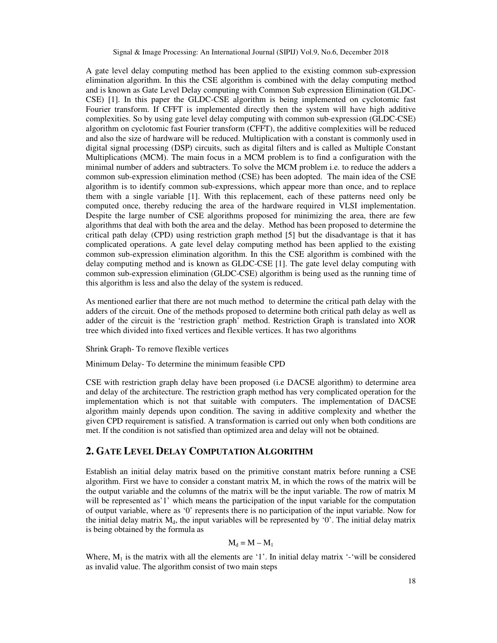A gate level delay computing method has been applied to the existing common sub-expression elimination algorithm. In this the CSE algorithm is combined with the delay computing method and is known as Gate Level Delay computing with Common Sub expression Elimination (GLDC-CSE) [1]. In this paper the GLDC-CSE algorithm is being implemented on cyclotomic fast Fourier transform. If CFFT is implemented directly then the system will have high additive complexities. So by using gate level delay computing with common sub-expression (GLDC-CSE) algorithm on cyclotomic fast Fourier transform (CFFT), the additive complexities will be reduced and also the size of hardware will be reduced. Multiplication with a constant is commonly used in digital signal processing (DSP) circuits, such as digital filters and is called as Multiple Constant Multiplications (MCM). The main focus in a MCM problem is to find a configuration with the minimal number of adders and subtracters. To solve the MCM problem i.e. to reduce the adders a common sub-expression elimination method (CSE) has been adopted. The main idea of the CSE algorithm is to identify common sub-expressions, which appear more than once, and to replace them with a single variable [1]. With this replacement, each of these patterns need only be computed once, thereby reducing the area of the hardware required in VLSI implementation. Despite the large number of CSE algorithms proposed for minimizing the area, there are few algorithms that deal with both the area and the delay. Method has been proposed to determine the critical path delay (CPD) using restriction graph method [5] but the disadvantage is that it has complicated operations. A gate level delay computing method has been applied to the existing common sub-expression elimination algorithm. In this the CSE algorithm is combined with the delay computing method and is known as GLDC-CSE [1]. The gate level delay computing with common sub-expression elimination (GLDC-CSE) algorithm is being used as the running time of this algorithm is less and also the delay of the system is reduced.

As mentioned earlier that there are not much method to determine the critical path delay with the adders of the circuit. One of the methods proposed to determine both critical path delay as well as adder of the circuit is the 'restriction graph' method. Restriction Graph is translated into XOR tree which divided into fixed vertices and flexible vertices. It has two algorithms

Shrink Graph- To remove flexible vertices

Minimum Delay- To determine the minimum feasible CPD

CSE with restriction graph delay have been proposed (i.e DACSE algorithm) to determine area and delay of the architecture. The restriction graph method has very complicated operation for the implementation which is not that suitable with computers. The implementation of DACSE algorithm mainly depends upon condition. The saving in additive complexity and whether the given CPD requirement is satisfied. A transformation is carried out only when both conditions are met. If the condition is not satisfied than optimized area and delay will not be obtained.

# **2. GATE LEVEL DELAY COMPUTATION ALGORITHM**

Establish an initial delay matrix based on the primitive constant matrix before running a CSE algorithm. First we have to consider a constant matrix M, in which the rows of the matrix will be the output variable and the columns of the matrix will be the input variable. The row of matrix M will be represented as'1' which means the participation of the input variable for the computation of output variable, where as '0' represents there is no participation of the input variable. Now for the initial delay matrix  $M_d$ , the input variables will be represented by '0'. The initial delay matrix is being obtained by the formula as

$$
M_d = M - M_1\,
$$

Where,  $M_1$  is the matrix with all the elements are '1'. In initial delay matrix '-'will be considered as invalid value. The algorithm consist of two main steps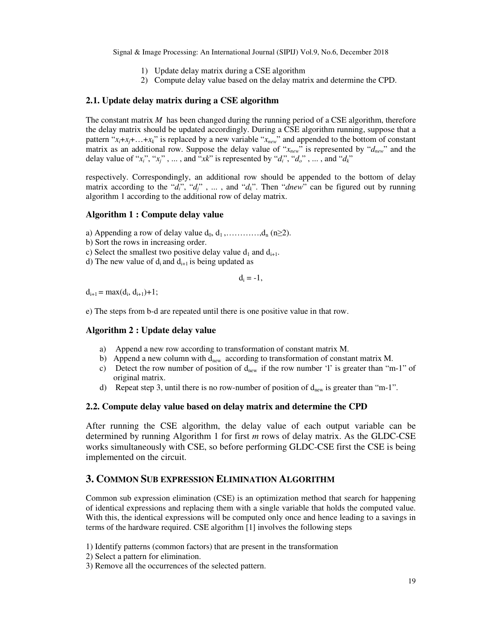- 1) Update delay matrix during a CSE algorithm
- 2) Compute delay value based on the delay matrix and determine the CPD.

#### **2.1. Update delay matrix during a CSE algorithm**

The constant matrix *M* has been changed during the running period of a CSE algorithm, therefore the delay matrix should be updated accordingly. During a CSE algorithm running, suppose that a pattern " $x_i + x_j + \ldots + x_k$ " is replaced by a new variable " $x_{new}$ " and appended to the bottom of constant matrix as an additional row. Suppose the delay value of "*xnew*" is represented by "*dnew*" and the delay value of " $x_i$ ", " $x_j$ ", ..., and " $x_k$ " is represented by " $d_i$ ", " $d_o$ ", ..., and " $d_k$ "

respectively. Correspondingly, an additional row should be appended to the bottom of delay matrix according to the " $d_i$ ", " $d_j$ ", ..., and " $d_k$ ". Then "*dnew*" can be figured out by running algorithm 1 according to the additional row of delay matrix.

#### **Algorithm 1 : Compute delay value**

- a) Appending a row of delay value  $d_0, d_1, \ldots, d_n$  (n≥2).
- b) Sort the rows in increasing order.
- c) Select the smallest two positive delay value  $d_1$  and  $d_{i+1}$ .
- d) The new value of  $d_i$  and  $d_{i+1}$  is being updated as

$$
d_i = -1,
$$

 $d_{i+1} = max(d_i, d_{i+1}) + 1;$ 

e) The steps from b-d are repeated until there is one positive value in that row.

#### **Algorithm 2 : Update delay value**

- a) Append a new row according to transformation of constant matrix M.
- b) Append a new column with  $d_{\text{new}}$  according to transformation of constant matrix M.
- c) Detect the row number of position of  $d_{\text{new}}$  if the row number 'l' is greater than "m-1" of original matrix.
- d) Repeat step 3, until there is no row-number of position of  $d_{\text{new}}$  is greater than "m-1".

#### **2.2. Compute delay value based on delay matrix and determine the CPD**

After running the CSE algorithm, the delay value of each output variable can be determined by running Algorithm 1 for first *m* rows of delay matrix. As the GLDC-CSE works simultaneously with CSE, so before performing GLDC-CSE first the CSE is being implemented on the circuit.

# **3. COMMON SUB EXPRESSION ELIMINATION ALGORITHM**

Common sub expression elimination (CSE) is an optimization method that search for happening of identical expressions and replacing them with a single variable that holds the computed value. With this, the identical expressions will be computed only once and hence leading to a savings in terms of the hardware required. CSE algorithm [1] involves the following steps

- 1) Identify patterns (common factors) that are present in the transformation
- 2) Select a pattern for elimination.
- 3) Remove all the occurrences of the selected pattern.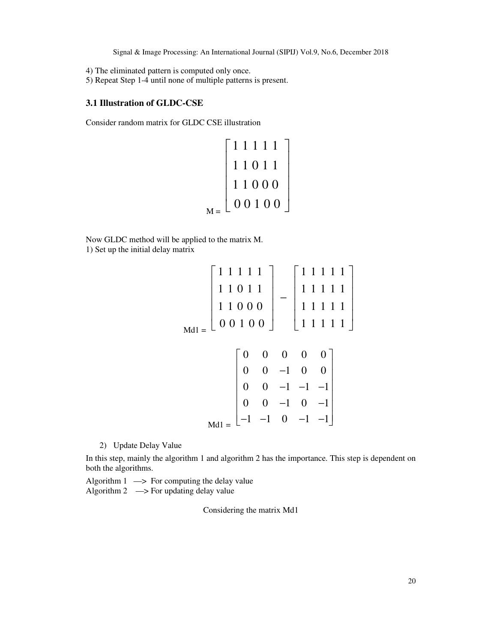- 4) The eliminated pattern is computed only once.
- 5) Repeat Step 1-4 until none of multiple patterns is present.

## **3.1 Illustration of GLDC-CSE**

Consider random matrix for GLDC CSE illustration

$$
M = \begin{bmatrix} 1 & 1 & 1 & 1 & 1 \\ 1 & 1 & 0 & 1 & 1 \\ 1 & 1 & 0 & 0 & 0 \\ 0 & 0 & 1 & 0 & 0 \end{bmatrix}
$$

Now GLDC method will be applied to the matrix M. 1) Set up the initial delay matrix

$$
Mdl = \begin{bmatrix} 1 & 1 & 1 & 1 & 1 \\ 1 & 1 & 0 & 1 & 1 \\ 1 & 1 & 0 & 0 & 0 \\ 0 & 0 & 1 & 0 & 0 \end{bmatrix} - \begin{bmatrix} 1 & 1 & 1 & 1 & 1 \\ 1 & 1 & 1 & 1 & 1 \\ 1 & 1 & 1 & 1 & 1 \end{bmatrix}
$$

$$
Mdl = \begin{bmatrix} 0 & 0 & 0 & 0 & 0 \\ 0 & 0 & -1 & 0 & 0 \\ 0 & 0 & -1 & -1 & -1 \\ 0 & 0 & -1 & 0 & -1 \\ -1 & -1 & 0 & -1 & -1 \end{bmatrix}
$$

2) Update Delay Value

In this step, mainly the algorithm 1 and algorithm 2 has the importance. This step is dependent on both the algorithms.

Algorithm  $1 \longrightarrow$  For computing the delay value Algorithm 2  $\longrightarrow$  For updating delay value

Considering the matrix Md1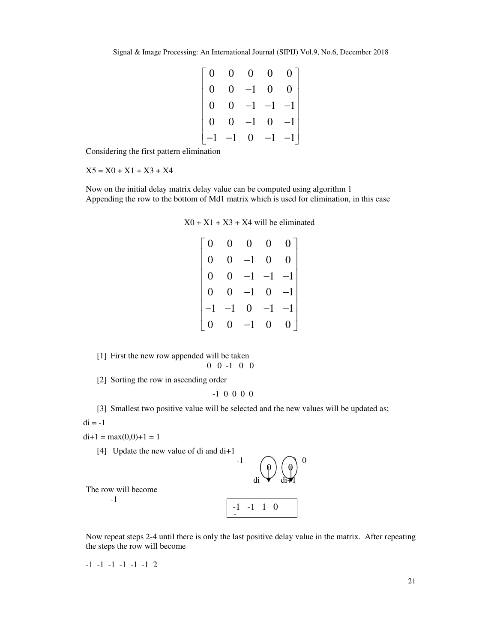| $\overline{0}$ | $0 \quad 0 \quad 0 \quad 0$ |                                                                     |
|----------------|-----------------------------|---------------------------------------------------------------------|
| $\overline{0}$ | $0$ -1 0 0                  |                                                                     |
| $\overline{0}$ |                             |                                                                     |
| $\overline{0}$ |                             | $\begin{bmatrix} 0 & -1 & -1 & -1 \\ 0 & -1 & 0 & -1 \end{bmatrix}$ |
|                | $-1$ $-1$ 0 $-1$ $-1$       |                                                                     |

Considering the first pattern elimination

 $X5 = X0 + X1 + X3 + X4$ 

Now on the initial delay matrix delay value can be computed using algorithm 1 Appending the row to the bottom of Md1 matrix which is used for elimination, in this case

| $X0 + X1 + X3 + X4$ will be eliminated |  |
|----------------------------------------|--|
|----------------------------------------|--|

|   |              | 0       |       |                 |
|---|--------------|---------|-------|-----------------|
| 0 |              | $^{-1}$ | 0     |                 |
| U |              | $-1$    | $-1$  |                 |
| 0 | J            | $-1$    | $0^-$ | $\overline{-1}$ |
|   |              | 0       | $-1$  | $^{-1}$         |
| 0 | $\mathbf{0}$ | $-1$    | 0     |                 |

[1] First the new row appended will be taken 0 0 -1 0 0

[2] Sorting the row in ascending order

$$
-1\ \ 0\ \ 0\ \ 0\ \ 0
$$

[3] Smallest two positive value will be selected and the new values will be updated as;  $di = -1$ 

 $di+1 = max(0,0)+1 = 1$ 

[4] Update the new value of di and di+1

$$
\begin{array}{c}\n\text{-1} \\
\text{di} \quad \downarrow \quad \text{d}\text{i} \quad \uparrow \quad \text{d}\text{m}\n\end{array}
$$
\nwill become

The row will become

-1

$$
\begin{array}{|c|c|c|c|}\n\hline\n-1 & -1 & 1 & 0 \\
\hline\n\end{array}
$$

Now repeat steps 2-4 until there is only the last positive delay value in the matrix. After repeating the steps the row will become

-1 -1 -1 -1 -1 -1 2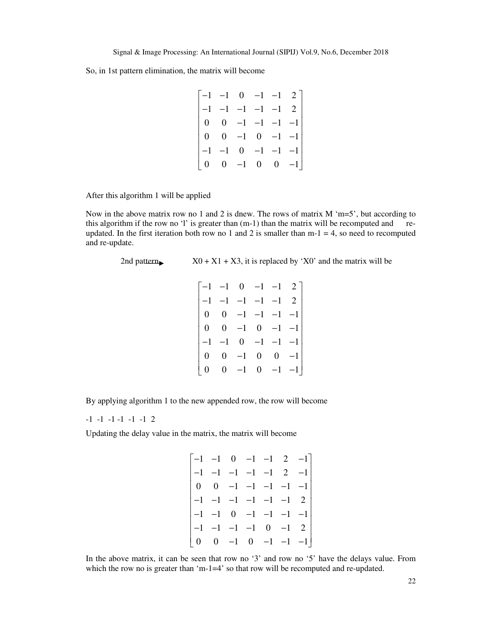So, in 1st pattern elimination, the matrix will become

| $\begin{bmatrix} -1 & -1 & 0 & -1 & -1 & 2 \end{bmatrix}$  |                                  |                       |                                        |
|------------------------------------------------------------|----------------------------------|-----------------------|----------------------------------------|
| $\begin{vmatrix} -1 & -1 & -1 & -1 & -1 & 2 \end{vmatrix}$ |                                  |                       |                                        |
|                                                            | $0 \t 0 \t -1 \t -1 \t -1 \t -1$ |                       |                                        |
|                                                            | $0 \t 0 \t -1 \t 0 \t -1 \t -1$  |                       |                                        |
|                                                            | $-1$ $-1$                        | $0 \t -1 \t -1 \t -1$ |                                        |
|                                                            | $0 \quad 0 \quad -1$             | $\overline{0}$        | $\begin{bmatrix} 0 & -1 \end{bmatrix}$ |

After this algorithm 1 will be applied

Now in the above matrix row no 1 and 2 is dnew. The rows of matrix  $M' = 5'$ , but according to this algorithm if the row no 'l' is greater than (m-1) than the matrix will be recomputed and reupdated. In the first iteration both row no 1 and 2 is smaller than  $m-1 = 4$ , so need to recomputed and re-update.

2nd pattern  $X0 + X1 + X3$ , it is replaced by 'X0' and the matrix will be

|  |  | $\begin{bmatrix} -1 & -1 & 0 & -1 & -1 & 2 \end{bmatrix}$ |  |
|--|--|-----------------------------------------------------------|--|
|  |  | $-1$ $-1$ $-1$ $-1$ $-1$ 2                                |  |
|  |  | $0 \t 0 \t -1 \t -1 \t -1 \t -1$                          |  |
|  |  | $0 \t 0 \t -1 \t 0 \t -1 \t -1$                           |  |
|  |  | $-1$ $-1$ 0 $-1$ $-1$ $-1$                                |  |
|  |  | $\begin{matrix} 0 & 0 & -1 & 0 & 0 & -1 \end{matrix}$     |  |
|  |  | $0 \t 0 \t -1 \t 0 \t -1 \t -1$                           |  |

By applying algorithm 1 to the new appended row, the row will become

-1 -1 -1 -1 -1 -1 2

Updating the delay value in the matrix, the matrix will become

$$
\begin{bmatrix} -1 & -1 & 0 & -1 & -1 & 2 & -1 \ -1 & -1 & -1 & -1 & -1 & 2 & -1 \ 0 & 0 & -1 & -1 & -1 & -1 & -1 \ -1 & -1 & -1 & -1 & -1 & 2 \ -1 & -1 & 0 & -1 & -1 & -1 & -1 \ 0 & 0 & -1 & 0 & -1 & -1 & -1 \end{bmatrix}
$$

In the above matrix, it can be seen that row no '3' and row no '5' have the delays value. From which the row no is greater than 'm-1=4' so that row will be recomputed and re-updated.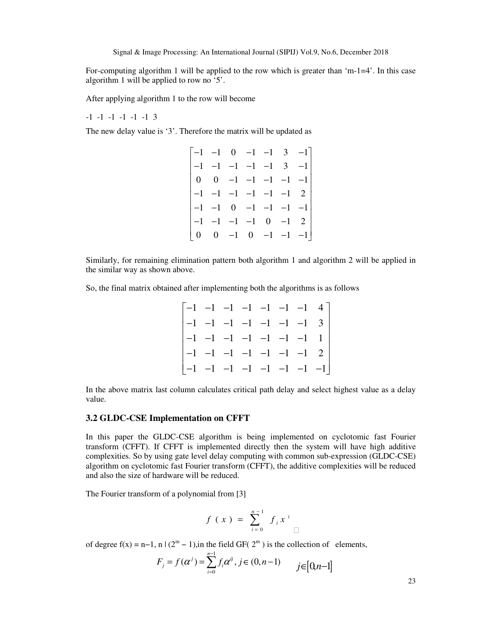For-computing algorithm 1 will be applied to the row which is greater than 'm-1=4'. In this case algorithm 1 will be applied to row no '5'.

After applying algorithm 1 to the row will become

-1 -1 -1 -1 -1 -1 3

The new delay value is '3'. Therefore the matrix will be updated as

| $\begin{bmatrix} -1 & -1 & 0 & -1 & -1 & 3 & -1 \end{bmatrix}$  |                                 |  |  |                                        |
|-----------------------------------------------------------------|---------------------------------|--|--|----------------------------------------|
|                                                                 | $-1$ $-1$ $-1$ $-1$ $-1$ 3 $-1$ |  |  |                                        |
|                                                                 |                                 |  |  | $0 \t 0 \t -1 \t -1 \t -1 \t -1 \t -1$ |
| $\begin{vmatrix} -1 & -1 & -1 & -1 & -1 & -1 & 2 \end{vmatrix}$ |                                 |  |  |                                        |
|                                                                 |                                 |  |  | $-1$ $-1$ 0 $-1$ $-1$ $-1$ $-1$        |
| $\begin{vmatrix} -1 & -1 & -1 & -1 & 0 & -1 & 2 \end{vmatrix}$  |                                 |  |  |                                        |
| $\begin{bmatrix} 0 & 0 & -1 & 0 & -1 & -1 & -1 \end{bmatrix}$   |                                 |  |  |                                        |

Similarly, for remaining elimination pattern both algorithm 1 and algorithm 2 will be applied in the similar way as shown above.

So, the final matrix obtained after implementing both the algorithms is as follows

|  |  |  | $\begin{bmatrix} -1 & -1 & -1 & -1 & -1 & -1 & -1 & 4 \end{bmatrix}$  |
|--|--|--|-----------------------------------------------------------------------|
|  |  |  | $\begin{vmatrix} -1 & -1 & -1 & -1 & -1 & -1 & -1 & 3 \end{vmatrix}$  |
|  |  |  | $\begin{vmatrix} -1 & -1 & -1 & -1 & -1 & -1 & -1 & 1 \end{vmatrix}$  |
|  |  |  | $\begin{vmatrix} -1 & -1 & -1 & -1 & -1 & -1 & -1 & 2 \end{vmatrix}$  |
|  |  |  | $\begin{bmatrix} -1 & -1 & -1 & -1 & -1 & -1 & -1 & -1 \end{bmatrix}$ |

In the above matrix last column calculates critical path delay and select highest value as a delay value.

#### **3.2 GLDC-CSE Implementation on CFFT**

In this paper the GLDC-CSE algorithm is being implemented on cyclotomic fast Fourier transform (CFFT). If CFFT is implemented directly then the system will have high additive complexities. So by using gate level delay computing with common sub-expression (GLDC-CSE) algorithm on cyclotomic fast Fourier transform (CFFT), the additive complexities will be reduced and also the size of hardware will be reduced.

The Fourier transform of a polynomial from [3]

$$
f(x) = \sum_{i=0}^{n-1} f_i x^i
$$

of degree  $f(x) = n-1$ ,  $n \mid (2^m - 1)$ , in the field GF( $2^m$ ) is the collection of elements,

$$
F_j = f(\alpha^j) = \sum_{i=0}^{n-1} f_i \alpha^{ij}, j \in (0, n-1) \qquad j \in [0, n-1]
$$

23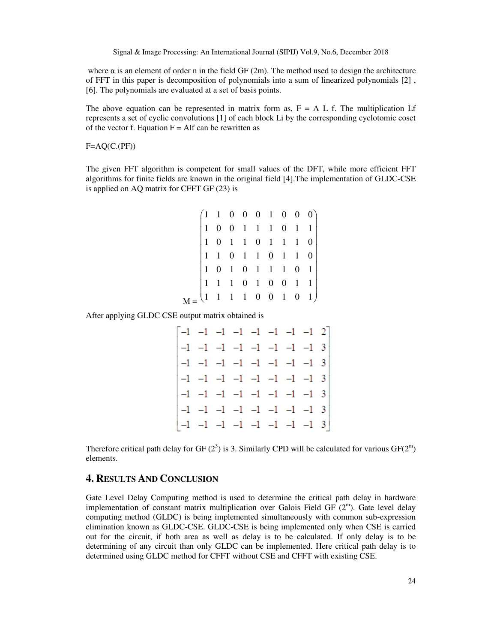where  $\alpha$  is an element of order n in the field GF (2m). The method used to design the architecture of FFT in this paper is decomposition of polynomials into a sum of linearized polynomials [2] , [6]. The polynomials are evaluated at a set of basis points.

The above equation can be represented in matrix form as,  $F = A L f$ . The multiplication Lf represents a set of cyclic convolutions [1] of each block Li by the corresponding cyclotomic coset of the vector f. Equation  $F = A$  and be rewritten as

 $F=AQ(C.(PF))$ 

The given FFT algorithm is competent for small values of the DFT, while more efficient FFT algorithms for finite fields are known in the original field [4].The implementation of GLDC-CSE is applied on AQ matrix for CFFT GF (23) is

|  |  |  |  | $\begin{pmatrix} 1 & 1 & 0 & 0 & 0 & 1 & 0 & 0 & 0 \\ 1 & 0 & 0 & 1 & 1 & 1 & 0 & 1 & 1 \\ 1 & 0 & 1 & 1 & 0 & 1 & 1 & 1 & 0 \\ 1 & 1 & 0 & 1 & 1 & 0 & 1 & 1 & 0 \\ 1 & 0 & 1 & 0 & 1 & 1 & 1 & 0 & 1 \\ 1 & 1 & 1 & 0 & 1 & 0 & 0 & 1 & 1 \\ 1 & 1 & 1 & 1 & 0 & 0 & 1 & 0 & 1 \end{pmatrix}$ |
|--|--|--|--|-------------------------------------------------------------------------------------------------------------------------------------------------------------------------------------------------------------------------------------------------------------------------------------------------|

After applying GLDC CSE output matrix obtained is

|  | $\begin{bmatrix} -1 & -1 & -1 & -1 & -1 & -1 & -1 & 2 \end{bmatrix}$      |  |  |  |
|--|---------------------------------------------------------------------------|--|--|--|
|  |                                                                           |  |  |  |
|  | $\begin{vmatrix} -1 & -1 & -1 & -1 & -1 & -1 & -1 & -1 & 3 \end{vmatrix}$ |  |  |  |
|  | $\begin{vmatrix} -1 & -1 & -1 & -1 & -1 & -1 & -1 & -1 & 3 \end{vmatrix}$ |  |  |  |
|  |                                                                           |  |  |  |
|  | $\begin{vmatrix} -1 & -1 & -1 & -1 & -1 & -1 & -1 & -1 & 3 \end{vmatrix}$ |  |  |  |
|  | $\begin{bmatrix} -1 & -1 & -1 & -1 & -1 & -1 & -1 & 3 \end{bmatrix}$      |  |  |  |

Therefore critical path delay for GF  $(2^3)$  is 3. Similarly CPD will be calculated for various GF $(2^m)$ elements.

## **4. RESULTS AND CONCLUSION**

Gate Level Delay Computing method is used to determine the critical path delay in hardware implementation of constant matrix multiplication over Galois Field GF  $(2<sup>m</sup>)$ . Gate level delay computing method (GLDC) is being implemented simultaneously with common sub-expression elimination known as GLDC-CSE. GLDC-CSE is being implemented only when CSE is carried out for the circuit, if both area as well as delay is to be calculated. If only delay is to be determining of any circuit than only GLDC can be implemented. Here critical path delay is to determined using GLDC method for CFFT without CSE and CFFT with existing CSE.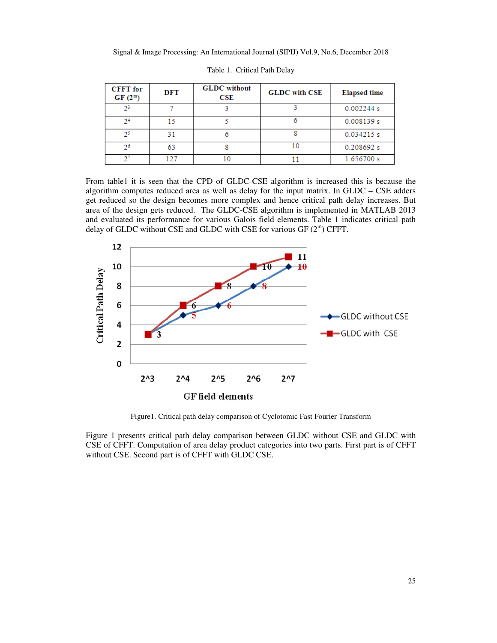| <b>CFFT</b> for<br>$GF(2^m)$ | DFT | <b>GLDC</b> without<br>CSE | <b>GLDC</b> with CSE | <b>Elapsed time</b> |
|------------------------------|-----|----------------------------|----------------------|---------------------|
| 2 <sup>3</sup>               |     |                            |                      | 0.002244 s          |
| 2 <sup>4</sup>               |     |                            |                      | 0.008139 s          |
| 25                           | 31  |                            |                      | 0.034215 s          |
| 26                           | 63  |                            |                      | 0.208692 s          |
|                              | 107 |                            |                      | 1.656700 s          |

Table 1. Critical Path Delay

From table1 it is seen that the CPD of GLDC-CSE algorithm is increased this is because the algorithm computes reduced area as well as delay for the input matrix. In GLDC – CSE adders get reduced so the design becomes more complex and hence critical path delay increases. But area of the design gets reduced. The GLDC-CSE algorithm is implemented in MATLAB 2013 and evaluated its performance for various Galois field elements. Table 1 indicates critical path delay of GLDC without CSE and GLDC with CSE for various GF  $(2^m)$  CFFT.



Figure1. Critical path delay comparison of Cyclotomic Fast Fourier Transform

Figure 1 presents critical path delay comparison between GLDC without CSE and GLDC with CSE of CFFT. Computation of area delay product categories into two parts. First part is of CFFT without CSE. Second part is of CFFT with GLDC CSE.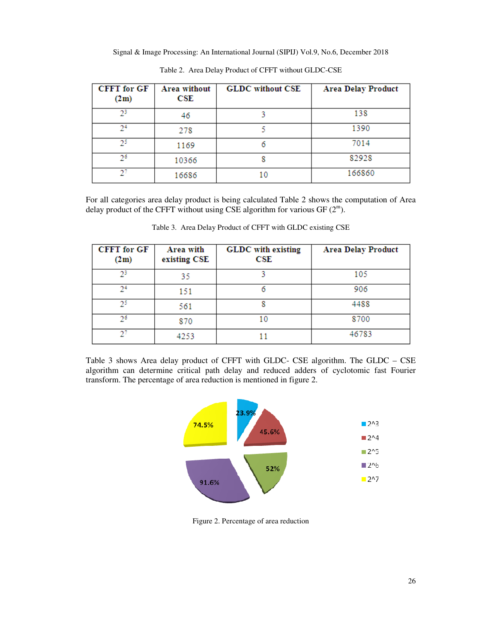| <b>CFFT</b> for GF<br>(2m) | Area without<br>$\overline{\mathbf{CSE}}$ | <b>GLDC</b> without CSE | <b>Area Delay Product</b> |
|----------------------------|-------------------------------------------|-------------------------|---------------------------|
| 23                         | 46                                        |                         | 138                       |
| 24                         | 278                                       |                         | 1390                      |
| 25.                        | 1169                                      | 6                       | 7014                      |
| 26                         | 10366                                     |                         | 82928                     |
|                            | 16686                                     | 10                      | 166860                    |

Table 2. Area Delay Product of CFFT without GLDC-CSE

For all categories area delay product is being calculated Table 2 shows the computation of Area delay product of the CFFT without using CSE algorithm for various GF  $(2^m)$ .

| <b>CFFT</b> for GF<br>(2m) | Area with<br>existing CSE | <b>GLDC</b> with existing<br>CSE | <b>Area Delay Product</b> |
|----------------------------|---------------------------|----------------------------------|---------------------------|
| 23                         | 35                        |                                  | 105                       |
| 24                         | 151                       |                                  | 906                       |
| 75                         | 561                       |                                  | 4488                      |
| 26                         | 870                       | 10                               | 8700                      |
|                            | 4253                      |                                  | 46783                     |

Table 3. Area Delay Product of CFFT with GLDC existing CSE

Table 3 shows Area delay product of CFFT with GLDC- CSE algorithm. The GLDC – CSE algorithm can determine critical path delay and reduced adders of cyclotomic fast Fourier transform. The percentage of area reduction is mentioned in figure 2.



Figure 2. Percentage of area reduction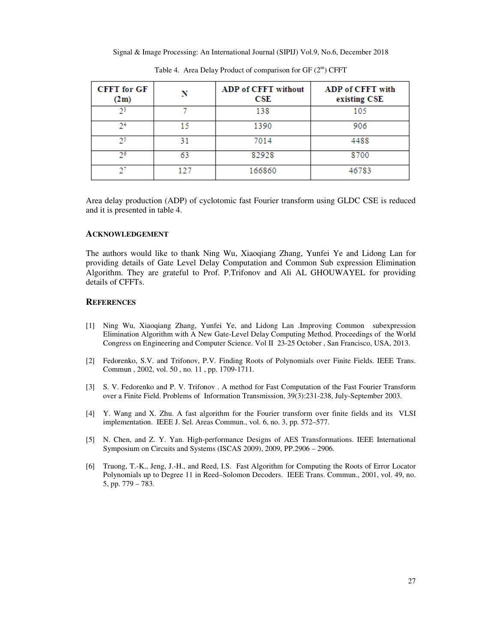| <b>CFFT</b> for GF<br>(2m) | N   | <b>ADP of CFFT without</b><br>$_{\rm CSE}$ | ADP of CFFT with<br>existing CSE |
|----------------------------|-----|--------------------------------------------|----------------------------------|
| 23                         |     | 138                                        | 105                              |
| 2 <sup>4</sup>             | 15  | 1390                                       | 906                              |
| 25                         | 31  | 7014                                       | 4488                             |
| 26                         | 63  | 82928                                      | 8700                             |
|                            | 127 | 166860                                     | 46783                            |

Table 4. Area Delay Product of comparison for  $GF(2^m)$  CFFT

Area delay production (ADP) of cyclotomic fast Fourier transform using GLDC CSE is reduced and it is presented in table 4.

#### **ACKNOWLEDGEMENT**

The authors would like to thank Ning Wu, Xiaoqiang Zhang, Yunfei Ye and Lidong Lan for providing details of Gate Level Delay Computation and Common Sub expression Elimination Algorithm. They are grateful to Prof. P.Trifonov and Ali AL GHOUWAYEL for providing details of CFFTs.

#### **REFERENCES**

- [1] Ning Wu, Xiaoqiang Zhang, Yunfei Ye, and Lidong Lan .Improving Common subexpression Elimination Algorithm with A New Gate-Level Delay Computing Method. Proceedings of the World Congress on Engineering and Computer Science. Vol II 23-25 October , San Francisco, USA, 2013.
- [2] Fedorenko, S.V. and Trifonov, P.V. Finding Roots of Polynomials over Finite Fields. IEEE Trans. Commun , 2002, vol. 50 , no. 11 , pp. 1709-1711.
- [3] S. V. Fedorenko and P. V. Trifonov . A method for Fast Computation of the Fast Fourier Transform over a Finite Field. Problems of Information Transmission, 39(3):231-238, July-September 2003.
- [4] Y. Wang and X. Zhu. A fast algorithm for the Fourier transform over finite fields and its VLSI implementation. IEEE J. Sel. Areas Commun., vol. 6, no. 3, pp. 572–577.
- [5] N. Chen, and Z. Y. Yan. High-performance Designs of AES Transformations. IEEE International Symposium on Circuits and Systems (ISCAS 2009), 2009, PP.2906 – 2906.
- [6] Truong, T.-K., Jeng, J.-H., and Reed, I.S. Fast Algorithm for Computing the Roots of Error Locator Polynomials up to Degree 11 in Reed–Solomon Decoders. IEEE Trans. Commun., 2001, vol. 49, no. 5, pp. 779 – 783.